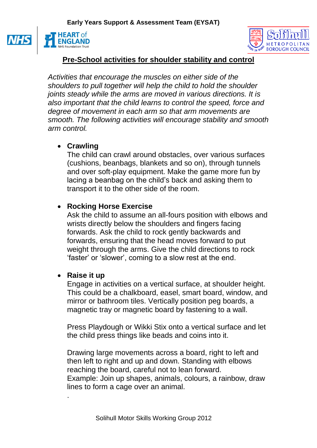



# **Pre-School activities for shoulder stability and control**

*Activities that encourage the muscles on either side of the shoulders to pull together will help the child to hold the shoulder joints steady while the arms are moved in various directions. It is also important that the child learns to control the speed, force and degree of movement in each arm so that arm movements are smooth. The following activities will encourage stability and smooth arm control.* 

## **Crawling**

The child can crawl around obstacles, over various surfaces (cushions, beanbags, blankets and so on), through tunnels and over soft-play equipment. Make the game more fun by lacing a beanbag on the child's back and asking them to transport it to the other side of the room.

## **Rocking Horse Exercise**

Ask the child to assume an all-fours position with elbows and wrists directly below the shoulders and fingers facing forwards. Ask the child to rock gently backwards and forwards, ensuring that the head moves forward to put weight through the arms. Give the child directions to rock 'faster' or 'slower', coming to a slow rest at the end.

### **Raise it up**

.

Engage in activities on a vertical surface, at shoulder height. This could be a chalkboard, easel, smart board, window, and mirror or bathroom tiles. Vertically position peg boards, a magnetic tray or magnetic board by fastening to a wall.

Press Playdough or Wikki Stix onto a vertical surface and let the child press things like beads and coins into it.

Drawing large movements across a board, right to left and then left to right and up and down. Standing with elbows reaching the board, careful not to lean forward. Example: Join up shapes, animals, colours, a rainbow, draw lines to form a cage over an animal.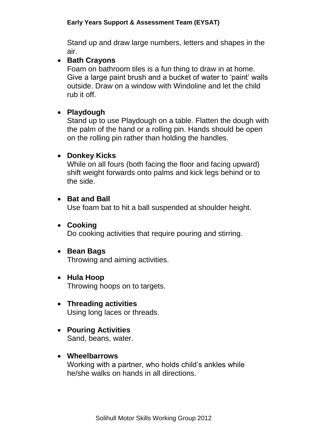Stand up and draw large numbers, letters and shapes in the air.

### **• Bath Crayons**

Foam on bathroom tiles is a fun thing to draw in at home. Give a large paint brush and a bucket of water to 'paint' walls outside. Draw on a window with Windoline and let the child rub it off.

### **Playdough**

Stand up to use Playdough on a table. Flatten the dough with the palm of the hand or a rolling pin. Hands should be open on the rolling pin rather than holding the handles.

### **Donkey Kicks**

While on all fours (both facing the floor and facing upward) shift weight forwards onto palms and kick legs behind or to the side.

### **Bat and Ball**

Use foam bat to hit a ball suspended at shoulder height.

 **Cooking** Do cooking activities that require pouring and stirring.

### **Bean Bags**

Throwing and aiming activities.

- **Hula Hoop** Throwing hoops on to targets.
- **Threading activities** Using long laces or threads.
- **Pouring Activities** Sand, beans, water.

### **Wheelbarrows**

Working with a partner, who holds child's ankles while he/she walks on hands in all directions.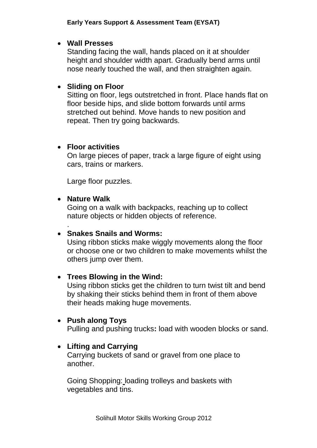#### **Wall Presses**

Standing facing the wall, hands placed on it at shoulder height and shoulder width apart. Gradually bend arms until nose nearly touched the wall, and then straighten again.

### **Sliding on Floor**

Sitting on floor, legs outstretched in front. Place hands flat on floor beside hips, and slide bottom forwards until arms stretched out behind. Move hands to new position and repeat. Then try going backwards.

### **Floor activities**

On large pieces of paper, track a large figure of eight using cars, trains or markers.

Large floor puzzles.

### **Nature Walk**

.

Going on a walk with backpacks, reaching up to collect nature objects or hidden objects of reference.

### **Snakes Snails and Worms:**

Using ribbon sticks make wiggly movements along the floor or choose one or two children to make movements whilst the others jump over them.

### **Trees Blowing in the Wind:**

Using ribbon sticks get the children to turn twist tilt and bend by shaking their sticks behind them in front of them above their heads making huge movements.

### **Push along Toys**

Pulling and pushing trucks**:** load with wooden blocks or sand.

### **Lifting and Carrying**

Carrying buckets of sand or gravel from one place to another.

Going Shopping: loading trolleys and baskets with vegetables and tins.